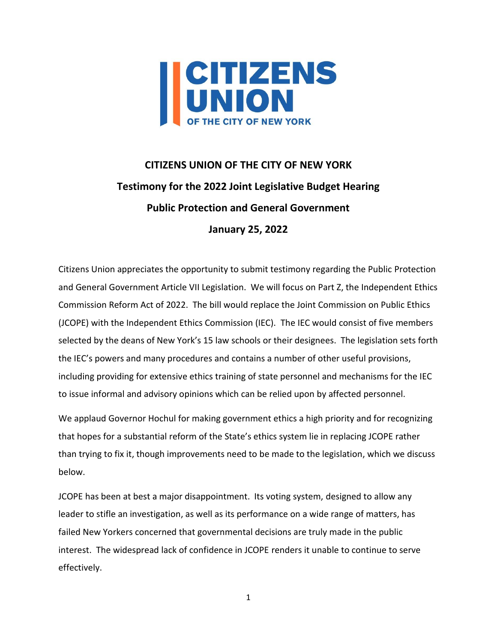

# **CITIZENS UNION OF THE CITY OF NEW YORK Testimony for the 2022 Joint Legislative Budget Hearing Public Protection and General Government January 25, 2022**

Citizens Union appreciates the opportunity to submit testimony regarding the Public Protection and General Government Article VII Legislation. We will focus on Part Z, the Independent Ethics Commission Reform Act of 2022. The bill would replace the Joint Commission on Public Ethics (JCOPE) with the Independent Ethics Commission (IEC). The IEC would consist of five members selected by the deans of New York's 15 law schools or their designees. The legislation sets forth the IEC's powers and many procedures and contains a number of other useful provisions, including providing for extensive ethics training of state personnel and mechanisms for the IEC to issue informal and advisory opinions which can be relied upon by affected personnel.

We applaud Governor Hochul for making government ethics a high priority and for recognizing that hopes for a substantial reform of the State's ethics system lie in replacing JCOPE rather than trying to fix it, though improvements need to be made to the legislation, which we discuss below.

JCOPE has been at best a major disappointment. Its voting system, designed to allow any leader to stifle an investigation, as well as its performance on a wide range of matters, has failed New Yorkers concerned that governmental decisions are truly made in the public interest. The widespread lack of confidence in JCOPE renders it unable to continue to serve effectively.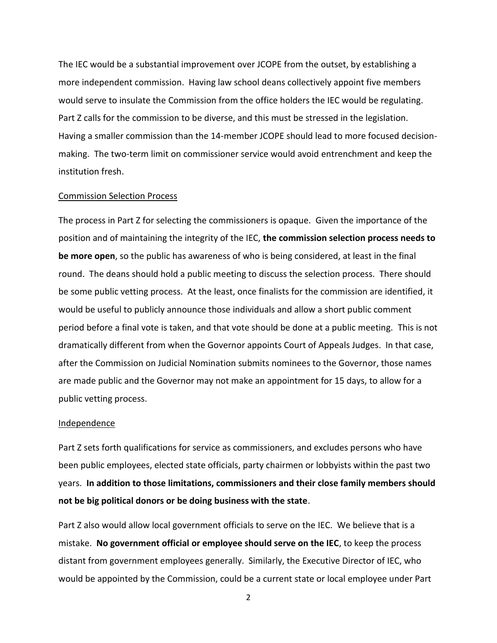The IEC would be a substantial improvement over JCOPE from the outset, by establishing a more independent commission. Having law school deans collectively appoint five members would serve to insulate the Commission from the office holders the IEC would be regulating. Part Z calls for the commission to be diverse, and this must be stressed in the legislation. Having a smaller commission than the 14-member JCOPE should lead to more focused decisionmaking. The two-term limit on commissioner service would avoid entrenchment and keep the institution fresh.

## Commission Selection Process

The process in Part Z for selecting the commissioners is opaque. Given the importance of the position and of maintaining the integrity of the IEC, **the commission selection process needs to be more open**, so the public has awareness of who is being considered, at least in the final round. The deans should hold a public meeting to discuss the selection process. There should be some public vetting process. At the least, once finalists for the commission are identified, it would be useful to publicly announce those individuals and allow a short public comment period before a final vote is taken, and that vote should be done at a public meeting. This is not dramatically different from when the Governor appoints Court of Appeals Judges. In that case, after the Commission on Judicial Nomination submits nominees to the Governor, those names are made public and the Governor may not make an appointment for 15 days, to allow for a public vetting process.

#### Independence

Part Z sets forth qualifications for service as commissioners, and excludes persons who have been public employees, elected state officials, party chairmen or lobbyists within the past two years. **In addition to those limitations, commissioners and their close family members should not be big political donors or be doing business with the state**.

Part Z also would allow local government officials to serve on the IEC. We believe that is a mistake. **No government official or employee should serve on the IEC**, to keep the process distant from government employees generally. Similarly, the Executive Director of IEC, who would be appointed by the Commission, could be a current state or local employee under Part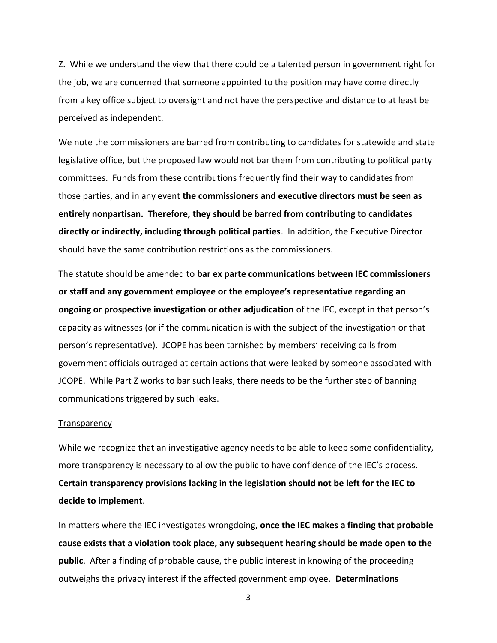Z. While we understand the view that there could be a talented person in government right for the job, we are concerned that someone appointed to the position may have come directly from a key office subject to oversight and not have the perspective and distance to at least be perceived as independent.

We note the commissioners are barred from contributing to candidates for statewide and state legislative office, but the proposed law would not bar them from contributing to political party committees. Funds from these contributions frequently find their way to candidates from those parties, and in any event **the commissioners and executive directors must be seen as entirely nonpartisan. Therefore, they should be barred from contributing to candidates directly or indirectly, including through political parties**. In addition, the Executive Director should have the same contribution restrictions as the commissioners.

The statute should be amended to **bar ex parte communications between IEC commissioners or staff and any government employee or the employee's representative regarding an ongoing or prospective investigation or other adjudication** of the IEC, except in that person's capacity as witnesses (or if the communication is with the subject of the investigation or that person's representative). JCOPE has been tarnished by members' receiving calls from government officials outraged at certain actions that were leaked by someone associated with JCOPE. While Part Z works to bar such leaks, there needs to be the further step of banning communications triggered by such leaks.

#### **Transparency**

While we recognize that an investigative agency needs to be able to keep some confidentiality, more transparency is necessary to allow the public to have confidence of the IEC's process. **Certain transparency provisions lacking in the legislation should not be left for the IEC to decide to implement**.

In matters where the IEC investigates wrongdoing, **once the IEC makes a finding that probable cause exists that a violation took place, any subsequent hearing should be made open to the public**. After a finding of probable cause, the public interest in knowing of the proceeding outweighs the privacy interest if the affected government employee. **Determinations**